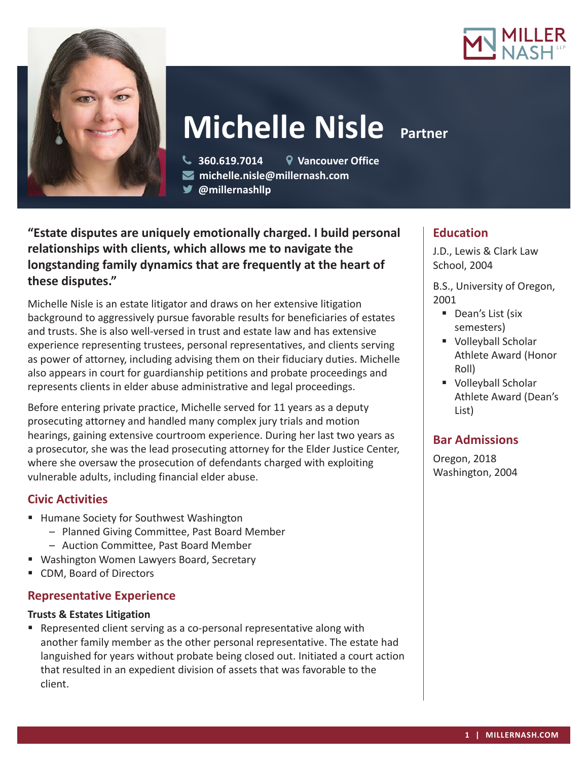



# **Michelle Nisle Partner**

 **360.619.7014 Vancouver Office michelle.nisle@millernash.com** 

**@millernashllp** 

**"Estate disputes are uniquely emotionally charged. I build personal relationships with clients, which allows me to navigate the longstanding family dynamics that are frequently at the heart of these disputes."**

Michelle Nisle is an estate litigator and draws on her extensive litigation background to aggressively pursue favorable results for beneficiaries of estates and trusts. She is also well-versed in trust and estate law and has extensive experience representing trustees, personal representatives, and clients serving as power of attorney, including advising them on their fiduciary duties. Michelle also appears in court for guardianship petitions and probate proceedings and represents clients in elder abuse administrative and legal proceedings.

Before entering private practice, Michelle served for 11 years as a deputy prosecuting attorney and handled many complex jury trials and motion hearings, gaining extensive courtroom experience. During her last two years as a prosecutor, she was the lead prosecuting attorney for the Elder Justice Center, where she oversaw the prosecution of defendants charged with exploiting vulnerable adults, including financial elder abuse.

## **Civic Activities**

- **Humane Society for Southwest Washington** 
	- Planned Giving Committee, Past Board Member
	- Auction Committee, Past Board Member
- Washington Women Lawyers Board, Secretary
- CDM, Board of Directors

## **Representative Experience**

### **Trusts & Estates Litigation**

 Represented client serving as a co-personal representative along with another family member as the other personal representative. The estate had languished for years without probate being closed out. Initiated a court action that resulted in an expedient division of assets that was favorable to the client.

## **Education**

J.D., Lewis & Clark Law School, 2004

B.S., University of Oregon, 2001

- Dean's List (six semesters)
- Volleyball Scholar Athlete Award (Honor Roll)
- **Volleyball Scholar** Athlete Award (Dean's List)

## **Bar Admissions**

Oregon, 2018 Washington, 2004